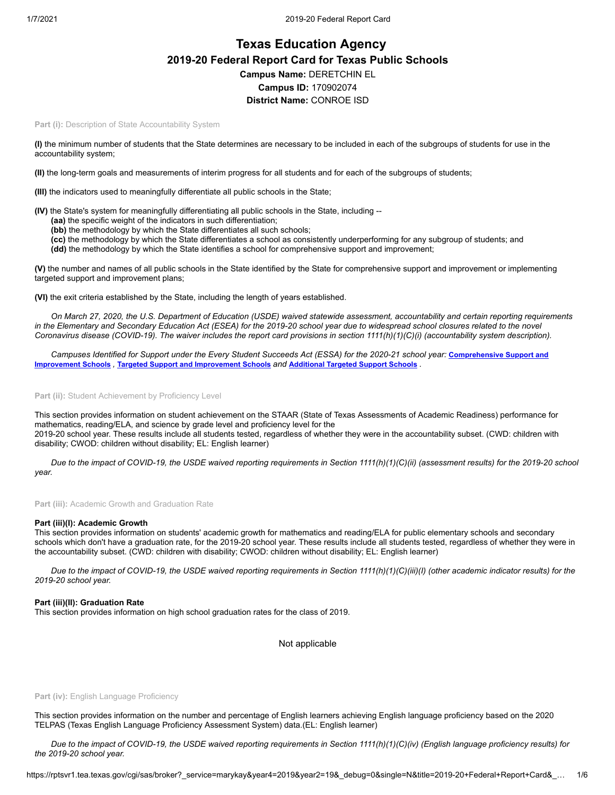# **Texas Education Agency 2019-20 Federal Report Card for Texas Public Schools Campus Name:** DERETCHIN EL **Campus ID:** 170902074 **District Name:** CONROE ISD

Part (i): Description of State Accountability System

**(I)** the minimum number of students that the State determines are necessary to be included in each of the subgroups of students for use in the accountability system;

**(II)** the long-term goals and measurements of interim progress for all students and for each of the subgroups of students;

**(III)** the indicators used to meaningfully differentiate all public schools in the State;

**(IV)** the State's system for meaningfully differentiating all public schools in the State, including --

- **(aa)** the specific weight of the indicators in such differentiation;
- **(bb)** the methodology by which the State differentiates all such schools;
- **(cc)** the methodology by which the State differentiates a school as consistently underperforming for any subgroup of students; and **(dd)** the methodology by which the State identifies a school for comprehensive support and improvement;

**(V)** the number and names of all public schools in the State identified by the State for comprehensive support and improvement or implementing

targeted support and improvement plans;

**(VI)** the exit criteria established by the State, including the length of years established.

*On March 27, 2020, the U.S. Department of Education (USDE) waived statewide assessment, accountability and certain reporting requirements in the Elementary and Secondary Education Act (ESEA) for the 2019-20 school year due to widespread school closures related to the novel Coronavirus disease (COVID-19). The waiver includes the report card provisions in section 1111(h)(1)(C)(i) (accountability system description).*

*[Campuses Identified for Support under the Every Student Succeeds Act \(ESSA\) for the 2020-21 school year:](https://tea.texas.gov/sites/default/files/comprehensive_support_2020.xlsx)* **Comprehensive Support and Improvement Schools** *,* **Targeted Support and [Improvement](https://tea.texas.gov/sites/default/files/targeted_support_2020.xlsx) Schools** *and* **[Additional](https://tea.texas.gov/sites/default/files/additional_targeted_support_2020.xlsx) Targeted Support Schools** *.*

Part (ii): Student Achievement by Proficiency Level

This section provides information on student achievement on the STAAR (State of Texas Assessments of Academic Readiness) performance for mathematics, reading/ELA, and science by grade level and proficiency level for the 2019-20 school year. These results include all students tested, regardless of whether they were in the accountability subset. (CWD: children with disability; CWOD: children without disability; EL: English learner)

*Due to the impact of COVID-19, the USDE waived reporting requirements in Section 1111(h)(1)(C)(ii) (assessment results) for the 2019-20 school year.*

**Part (iii):** Academic Growth and Graduation Rate

## **Part (iii)(I): Academic Growth**

This section provides information on students' academic growth for mathematics and reading/ELA for public elementary schools and secondary schools which don't have a graduation rate, for the 2019-20 school year. These results include all students tested, regardless of whether they were in the accountability subset. (CWD: children with disability; CWOD: children without disability; EL: English learner)

*Due to the impact of COVID-19, the USDE waived reporting requirements in Section 1111(h)(1)(C)(iii)(I) (other academic indicator results) for the 2019-20 school year.*

## **Part (iii)(II): Graduation Rate**

This section provides information on high school graduation rates for the class of 2019.

Not applicable

#### Part (iv): English Language Proficiency

This section provides information on the number and percentage of English learners achieving English language proficiency based on the 2020 TELPAS (Texas English Language Proficiency Assessment System) data.(EL: English learner)

*Due to the impact of COVID-19, the USDE waived reporting requirements in Section 1111(h)(1)(C)(iv) (English language proficiency results) for the 2019-20 school year.*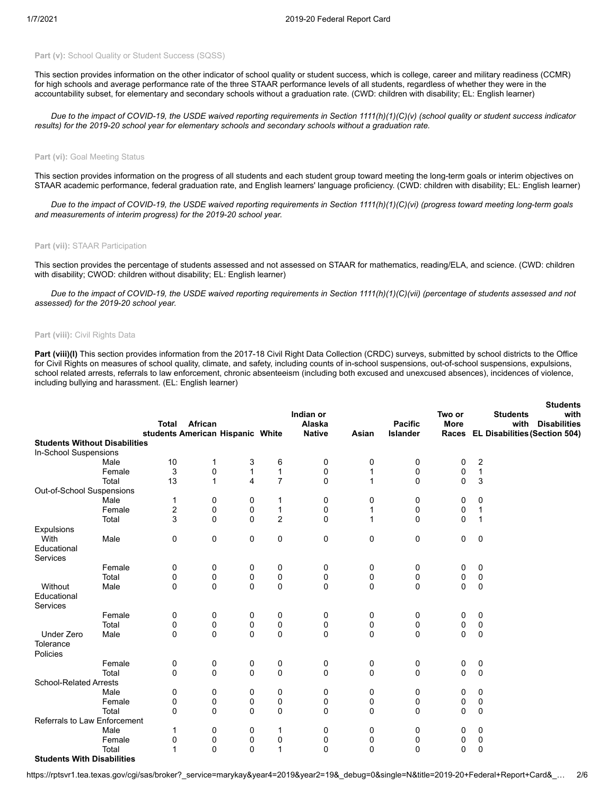## Part (v): School Quality or Student Success (SQSS)

This section provides information on the other indicator of school quality or student success, which is college, career and military readiness (CCMR) for high schools and average performance rate of the three STAAR performance levels of all students, regardless of whether they were in the accountability subset, for elementary and secondary schools without a graduation rate. (CWD: children with disability; EL: English learner)

*Due to the impact of COVID-19, the USDE waived reporting requirements in Section 1111(h)(1)(C)(v) (school quality or student success indicator results) for the 2019-20 school year for elementary schools and secondary schools without a graduation rate.*

#### **Part (vi): Goal Meeting Status**

This section provides information on the progress of all students and each student group toward meeting the long-term goals or interim objectives on STAAR academic performance, federal graduation rate, and English learners' language proficiency. (CWD: children with disability; EL: English learner)

*Due to the impact of COVID-19, the USDE waived reporting requirements in Section 1111(h)(1)(C)(vi) (progress toward meeting long-term goals and measurements of interim progress) for the 2019-20 school year.*

#### **Part (vii):** STAAR Participation

This section provides the percentage of students assessed and not assessed on STAAR for mathematics, reading/ELA, and science. (CWD: children with disability; CWOD: children without disability; EL: English learner)

*Due to the impact of COVID-19, the USDE waived reporting requirements in Section 1111(h)(1)(C)(vii) (percentage of students assessed and not assessed) for the 2019-20 school year.*

## **Part (viii):** Civil Rights Data

Part (viii)(I) This section provides information from the 2017-18 Civil Right Data Collection (CRDC) surveys, submitted by school districts to the Office for Civil Rights on measures of school quality, climate, and safety, including counts of in-school suspensions, out-of-school suspensions, expulsions, school related arrests, referrals to law enforcement, chronic absenteeism (including both excused and unexcused absences), incidences of violence, including bullying and harassment. (EL: English learner)

**Students**

|                                      |        |                                                  |              |          |                | Indian or               |             |                            | Two or       |              | <b>Students</b><br><b>Students</b><br>with                         |
|--------------------------------------|--------|--------------------------------------------------|--------------|----------|----------------|-------------------------|-------------|----------------------------|--------------|--------------|--------------------------------------------------------------------|
|                                      |        | <b>Total</b><br>students American Hispanic White | African      |          |                | Alaska<br><b>Native</b> | Asian       | <b>Pacific</b><br>Islander | <b>More</b>  |              | <b>Disabilities</b><br>with<br>Races EL Disabilities (Section 504) |
| <b>Students Without Disabilities</b> |        |                                                  |              |          |                |                         |             |                            |              |              |                                                                    |
| In-School Suspensions                |        |                                                  |              |          |                |                         |             |                            |              |              |                                                                    |
|                                      | Male   | 10                                               | 1            | 3        | 6              | 0                       | 0           | 0                          | 0            | 2            |                                                                    |
|                                      | Female | 3                                                | 0            | 1        | $\mathbf{1}$   | 0                       | 1           | 0                          | 0            | $\mathbf{1}$ |                                                                    |
|                                      | Total  | 13                                               | $\mathbf{1}$ | 4        | $\overline{7}$ | $\mathbf 0$             | 1           | $\mathbf 0$                | $\Omega$     | 3            |                                                                    |
| Out-of-School Suspensions            |        |                                                  |              |          |                |                         |             |                            |              |              |                                                                    |
|                                      | Male   | 1                                                | 0            | 0        | 1              | 0                       | 0           | 0                          | $\mathbf 0$  | 0            |                                                                    |
|                                      | Female | 2                                                | 0            | 0        | $\mathbf{1}$   | 0                       | 1           | 0                          | 0            | 1            |                                                                    |
|                                      | Total  | 3                                                | $\Omega$     | $\Omega$ | $\overline{c}$ | $\mathbf 0$             | 1           | $\mathbf 0$                | $\Omega$     | 1            |                                                                    |
| Expulsions                           |        |                                                  |              |          |                |                         |             |                            |              |              |                                                                    |
| With                                 | Male   | 0                                                | 0            | 0        | 0              | 0                       | 0           | 0                          | 0            | $\mathbf 0$  |                                                                    |
| Educational                          |        |                                                  |              |          |                |                         |             |                            |              |              |                                                                    |
| Services                             |        |                                                  |              |          |                |                         |             |                            |              |              |                                                                    |
|                                      | Female | 0                                                | 0            | 0        | 0              | 0                       | 0           | 0                          | 0            | 0            |                                                                    |
|                                      | Total  | 0                                                | 0            | 0        | 0              | 0                       | 0           | 0                          | 0            | 0            |                                                                    |
| Without                              | Male   | $\mathbf 0$                                      | 0            | 0        | 0              | $\mathbf 0$             | $\mathbf 0$ | $\mathbf 0$                | $\Omega$     | $\mathbf 0$  |                                                                    |
| Educational                          |        |                                                  |              |          |                |                         |             |                            |              |              |                                                                    |
| Services                             |        |                                                  |              |          |                |                         |             |                            |              |              |                                                                    |
|                                      | Female | 0                                                | 0            | 0        | 0              | 0                       | 0           | 0                          | 0            | 0            |                                                                    |
|                                      | Total  | 0                                                | 0            | 0        | 0              | 0                       | $\mathbf 0$ | 0                          | 0            | 0            |                                                                    |
| <b>Under Zero</b>                    | Male   | $\mathbf{0}$                                     | $\mathbf 0$  | $\Omega$ | 0              | $\mathbf 0$             | $\mathbf 0$ | $\mathbf 0$                | $\Omega$     | $\mathbf 0$  |                                                                    |
| Tolerance                            |        |                                                  |              |          |                |                         |             |                            |              |              |                                                                    |
| Policies                             |        |                                                  |              |          |                |                         |             |                            |              |              |                                                                    |
|                                      | Female | 0                                                | 0            | 0        | 0              | 0                       | 0           | 0                          | 0            | 0            |                                                                    |
|                                      | Total  | $\mathbf 0$                                      | 0            | $\Omega$ | 0              | $\mathbf 0$             | $\mathbf 0$ | $\mathbf 0$                | $\mathbf{0}$ | $\mathbf 0$  |                                                                    |
| <b>School-Related Arrests</b>        |        |                                                  |              |          |                |                         |             |                            |              |              |                                                                    |
|                                      | Male   | 0                                                | 0            | 0        | 0              | 0                       | 0           | 0                          | 0            | 0            |                                                                    |
|                                      | Female | 0                                                | 0            | 0        | 0              | 0                       | 0           | 0                          | 0            | 0            |                                                                    |
|                                      | Total  | $\mathbf{0}$                                     | $\Omega$     | $\Omega$ | $\Omega$       | $\mathbf 0$             | 0           | $\mathbf 0$                | $\Omega$     | $\mathbf 0$  |                                                                    |
| Referrals to Law Enforcement         |        |                                                  |              |          |                |                         |             |                            |              |              |                                                                    |
|                                      | Male   | 1                                                | 0            | 0        | 1              | 0                       | 0           | 0                          | 0            | 0            |                                                                    |
|                                      | Female | 0                                                | 0            | 0        | 0              | 0                       | 0           | 0                          | 0            | 0            |                                                                    |
|                                      | Total  | 1                                                | $\Omega$     | $\Omega$ | $\mathbf{1}$   | $\Omega$                | $\mathbf 0$ | $\Omega$                   | 0            | $\mathbf 0$  |                                                                    |
| <b>Students With Disabilities</b>    |        |                                                  |              |          |                |                         |             |                            |              |              |                                                                    |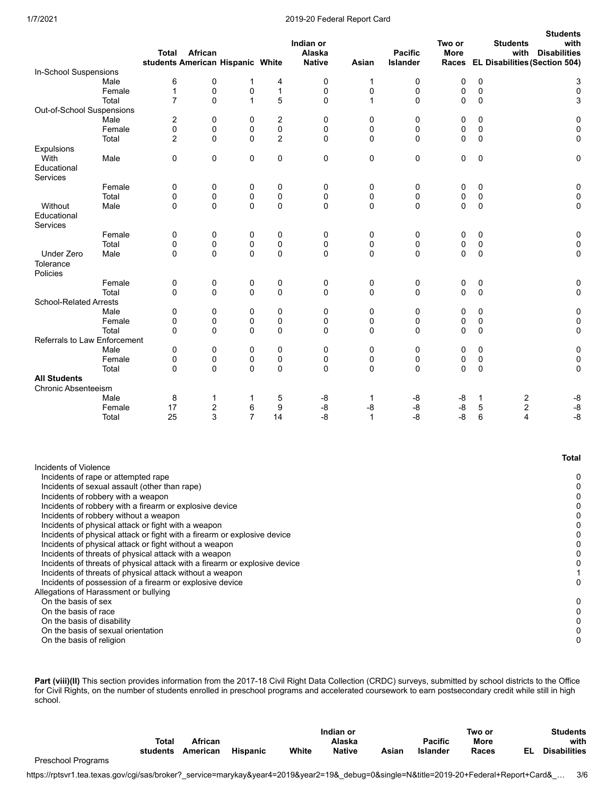### 1/7/2021 2019-20 Federal Report Card

|                                                                                                                                                                                                                                                                                                                |        | <b>Total</b>   | African<br>students American Hispanic White |                |              | Indian or<br>Alaska<br><b>Native</b> | Asian        | <b>Pacific</b><br><b>Islander</b> | Two or<br><b>More</b><br>Races |   | <b>Students</b><br>with<br><b>EL Disabilities (Section 504)</b> | <b>Students</b><br>with<br><b>Disabilities</b> |
|----------------------------------------------------------------------------------------------------------------------------------------------------------------------------------------------------------------------------------------------------------------------------------------------------------------|--------|----------------|---------------------------------------------|----------------|--------------|--------------------------------------|--------------|-----------------------------------|--------------------------------|---|-----------------------------------------------------------------|------------------------------------------------|
| In-School Suspensions                                                                                                                                                                                                                                                                                          |        |                |                                             |                |              |                                      |              |                                   |                                |   |                                                                 |                                                |
|                                                                                                                                                                                                                                                                                                                | Male   | 6              | 0                                           | $\mathbf{1}$   | 4            | 0                                    | 1            | 0                                 | 0                              | 0 |                                                                 | 3                                              |
|                                                                                                                                                                                                                                                                                                                | Female | $\mathbf 1$    | 0                                           | 0              | $\mathbf{1}$ | 0                                    | 0            | 0                                 | 0                              | 0 |                                                                 | 0                                              |
|                                                                                                                                                                                                                                                                                                                | Total  | $\overline{7}$ | $\mathbf 0$                                 | $\mathbf{1}$   | 5            | 0                                    | 1            | 0                                 | 0                              | 0 |                                                                 | 3                                              |
| Out-of-School Suspensions                                                                                                                                                                                                                                                                                      |        |                |                                             |                |              |                                      |              |                                   |                                |   |                                                                 |                                                |
|                                                                                                                                                                                                                                                                                                                | Male   | 2              | 0                                           | 0              | 2            | 0                                    | 0            | 0                                 | 0                              | 0 |                                                                 | 0                                              |
|                                                                                                                                                                                                                                                                                                                | Female | 0              | 0                                           | 0              | 0            | 0                                    | 0            | 0                                 | 0                              | 0 |                                                                 | 0                                              |
|                                                                                                                                                                                                                                                                                                                | Total  | $\overline{2}$ | $\Omega$                                    | 0              | 2            | 0                                    | 0            | 0                                 | 0                              | 0 |                                                                 | 0                                              |
| Expulsions                                                                                                                                                                                                                                                                                                     |        |                |                                             |                |              |                                      |              |                                   |                                |   |                                                                 |                                                |
| With<br>Educational<br>Services                                                                                                                                                                                                                                                                                | Male   | 0              | $\mathbf 0$                                 | 0              | 0            | 0                                    | 0            | 0                                 | 0                              | 0 |                                                                 | 0                                              |
|                                                                                                                                                                                                                                                                                                                | Female | 0              | 0                                           | 0              | 0            | 0                                    | 0            | 0                                 | 0                              | 0 |                                                                 | 0                                              |
|                                                                                                                                                                                                                                                                                                                | Total  | 0              | 0                                           | 0              | 0            | 0                                    | 0            | 0                                 | 0                              | 0 |                                                                 | 0                                              |
| Without                                                                                                                                                                                                                                                                                                        | Male   | 0              | $\mathbf 0$                                 | 0              | 0            | 0                                    | 0            | 0                                 | 0                              | 0 |                                                                 | 0                                              |
| Educational<br>Services                                                                                                                                                                                                                                                                                        |        |                |                                             |                |              |                                      |              |                                   |                                |   |                                                                 |                                                |
|                                                                                                                                                                                                                                                                                                                | Female | 0              | 0                                           | 0              | 0            | 0                                    | 0            | 0                                 | 0                              | 0 |                                                                 | 0                                              |
|                                                                                                                                                                                                                                                                                                                | Total  | 0              | 0                                           | 0              | 0            | 0                                    | 0            | 0                                 | 0                              | 0 |                                                                 | $\pmb{0}$                                      |
| Under Zero<br>Tolerance<br>Policies                                                                                                                                                                                                                                                                            | Male   | $\mathbf 0$    | $\Omega$                                    | 0              | 0            | $\mathbf 0$                          | 0            | 0                                 | 0                              | 0 |                                                                 | 0                                              |
|                                                                                                                                                                                                                                                                                                                | Female | 0              | 0                                           | 0              | 0            | 0                                    | 0            | 0                                 | 0                              | 0 |                                                                 | 0                                              |
|                                                                                                                                                                                                                                                                                                                | Total  | 0              | $\mathbf 0$                                 | 0              | $\mathbf 0$  | 0                                    | 0            | 0                                 | 0                              | 0 |                                                                 | 0                                              |
| <b>School-Related Arrests</b>                                                                                                                                                                                                                                                                                  |        |                |                                             |                |              |                                      |              |                                   |                                |   |                                                                 |                                                |
|                                                                                                                                                                                                                                                                                                                | Male   | 0              | 0                                           | 0              | 0            | 0                                    | 0            | 0                                 | 0                              | 0 |                                                                 | 0                                              |
|                                                                                                                                                                                                                                                                                                                | Female | 0              | 0                                           | 0              | 0            | 0                                    | 0            | 0                                 | 0                              | 0 |                                                                 | 0                                              |
|                                                                                                                                                                                                                                                                                                                | Total  | 0              | $\Omega$                                    | 0              | $\mathbf 0$  | $\mathbf 0$                          | 0            | 0                                 | 0                              | 0 |                                                                 | 0                                              |
| <b>Referrals to Law Enforcement</b>                                                                                                                                                                                                                                                                            |        |                |                                             |                |              |                                      |              |                                   |                                |   |                                                                 |                                                |
|                                                                                                                                                                                                                                                                                                                | Male   | 0              | 0                                           | 0              | 0            | 0                                    | 0            | 0                                 | 0                              | 0 |                                                                 | 0                                              |
|                                                                                                                                                                                                                                                                                                                | Female | 0              | 0                                           | 0              | 0            | 0                                    | 0            | 0                                 | 0                              | 0 |                                                                 | 0                                              |
|                                                                                                                                                                                                                                                                                                                | Total  | 0              | $\mathbf 0$                                 | 0              | 0            | 0                                    | 0            | 0                                 | 0                              | 0 |                                                                 | 0                                              |
| <b>All Students</b>                                                                                                                                                                                                                                                                                            |        |                |                                             |                |              |                                      |              |                                   |                                |   |                                                                 |                                                |
| <b>Chronic Absenteeism</b>                                                                                                                                                                                                                                                                                     |        |                |                                             |                |              |                                      |              |                                   |                                |   |                                                                 |                                                |
|                                                                                                                                                                                                                                                                                                                | Male   | 8              | 1                                           | 1              | 5            | -8                                   | 1            | -8                                | -8                             | 1 | 2                                                               | -8                                             |
|                                                                                                                                                                                                                                                                                                                | Female | 17             | $\overline{c}$                              | 6              | 9            | -8                                   | -8           | -8                                | -8                             | 5 | $\mathbf 2$                                                     | -8                                             |
|                                                                                                                                                                                                                                                                                                                | Total  | 25             | 3                                           | $\overline{7}$ | 14           | -8                                   | $\mathbf{1}$ | -8                                | $-8$                           | 6 | 4                                                               | $-8$                                           |
|                                                                                                                                                                                                                                                                                                                |        |                |                                             |                |              |                                      |              |                                   |                                |   |                                                                 | <b>Total</b>                                   |
| Incidents of Violence<br>Incidents of rape or attempted rape<br>Incidents of sexual assault (other than rape)<br>Incidents of robbery with a weapon<br>Incidents of robbery with a firearm or explosive device<br>Incidents of robbery without a weapon<br>Incidents of physical attack or fight with a weapon |        |                |                                             |                |              |                                      |              |                                   |                                |   |                                                                 | 0<br>0<br>0<br>0<br>0<br>0                     |
| Incidents of physical attack or fight with a firearm or explosive device                                                                                                                                                                                                                                       |        |                |                                             |                |              |                                      |              |                                   |                                |   |                                                                 | 0                                              |
| Incidents of physical attack or fight without a weapon                                                                                                                                                                                                                                                         |        |                |                                             |                |              |                                      |              |                                   |                                |   |                                                                 | 0                                              |
| Incidents of threats of physical attack with a weapon                                                                                                                                                                                                                                                          |        |                |                                             |                |              |                                      |              |                                   |                                |   |                                                                 | 0                                              |
| Incidents of threats of physical attack with a firearm or explosive device                                                                                                                                                                                                                                     |        |                |                                             |                |              |                                      |              |                                   |                                |   |                                                                 | 0                                              |
| Incidents of threats of physical attack without a weapon                                                                                                                                                                                                                                                       |        |                |                                             |                |              |                                      |              |                                   |                                |   |                                                                 | 1                                              |
| Incidents of possession of a firearm or explosive device                                                                                                                                                                                                                                                       |        |                |                                             |                |              |                                      |              |                                   |                                |   |                                                                 | 0                                              |
| Allegations of Harassment or bullying                                                                                                                                                                                                                                                                          |        |                |                                             |                |              |                                      |              |                                   |                                |   |                                                                 |                                                |
| On the basis of sex                                                                                                                                                                                                                                                                                            |        |                |                                             |                |              |                                      |              |                                   |                                |   |                                                                 | 0                                              |
| On the basis of race                                                                                                                                                                                                                                                                                           |        |                |                                             |                |              |                                      |              |                                   |                                |   |                                                                 | 0                                              |
| On the basis of disability<br>On the basis of sexual orientation                                                                                                                                                                                                                                               |        |                |                                             |                |              |                                      |              |                                   |                                |   |                                                                 | 0                                              |
| On the basis of religion                                                                                                                                                                                                                                                                                       |        |                |                                             |                |              |                                      |              |                                   |                                |   |                                                                 | 0<br>0                                         |
|                                                                                                                                                                                                                                                                                                                |        |                |                                             |                |              |                                      |              |                                   |                                |   |                                                                 |                                                |

Part (viii)(II) This section provides information from the 2017-18 Civil Right Data Collection (CRDC) surveys, submitted by school districts to the Office for Civil Rights, on the number of students enrolled in preschool programs and accelerated coursework to earn postsecondary credit while still in high school.

|                           |          |          |                 |       | Indian or     |       |                | Two or |  |                     |
|---------------------------|----------|----------|-----------------|-------|---------------|-------|----------------|--------|--|---------------------|
|                           | Total    | African  |                 |       | Alaska        |       | <b>Pacific</b> | More   |  | with                |
|                           | students | American | <b>Hispanic</b> | White | <b>Native</b> | Asian | Islander       | Races  |  | <b>Disabilities</b> |
| <b>Preschool Programs</b> |          |          |                 |       |               |       |                |        |  |                     |

https://rptsvr1.tea.texas.gov/cgi/sas/broker?\_service=marykay&year4=2019&year2=19&\_debug=0&single=N&title=2019-20+Federal+Report+Card&\_… 3/6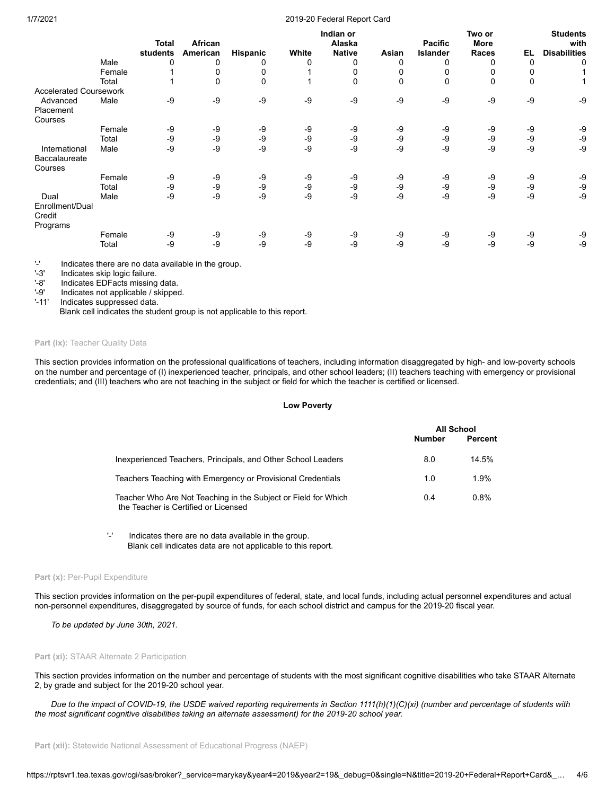## 1/7/2021 2019-20 Federal Report Card

|                                       |        |              |          |          |       | Indian or     |       |                | Two or      |      | <b>Students</b>     |
|---------------------------------------|--------|--------------|----------|----------|-------|---------------|-------|----------------|-------------|------|---------------------|
|                                       |        | <b>Total</b> | African  |          |       | Alaska        |       | <b>Pacific</b> | <b>More</b> |      | with                |
|                                       |        | students     | American | Hispanic | White | <b>Native</b> | Asian | Islander       | Races       | EL   | <b>Disabilities</b> |
|                                       | Male   | 0            | 0        | 0        | 0     | 0             | 0     | 0              |             | 0    | 0                   |
|                                       | Female |              | 0        | 0        |       |               | 0     | 0              |             |      |                     |
|                                       | Total  |              | 0        | 0        |       | 0             | 0     | 0              | 0           | 0    |                     |
| <b>Accelerated Coursework</b>         |        |              |          |          |       |               |       |                |             |      |                     |
| Advanced                              | Male   | -9           | -9       | -9       | -9    | -9            | -9    | -9             | -9          | -9   | -9                  |
| Placement                             |        |              |          |          |       |               |       |                |             |      |                     |
| Courses                               |        |              |          |          |       |               |       |                |             |      |                     |
|                                       | Female | -9           | -9       | -9       | -9    | -9            | -9    | -9             | -9          | -9   | -9                  |
|                                       | Total  | -9           | -9       | -9       | -9    | -9            | -9    | -9             | -9          | -9   | -9                  |
| International                         | Male   | -9           | -9       | $-9$     | -9    | -9            | -9    | -9             | -9          | $-9$ | $-9$                |
| Baccalaureate                         |        |              |          |          |       |               |       |                |             |      |                     |
| Courses                               |        |              |          |          |       |               |       |                |             |      |                     |
|                                       | Female | -9           | -9       | -9       | -9    | -9            | -9    | -9             | -9          | -9   | -9                  |
|                                       | Total  | -9           | -9       | -9       | -9    | -9            | $-9$  | -9             | -9          | -9   | -9                  |
| Dual                                  | Male   | -9           | -9       | $-9$     | -9    | -9            | $-9$  | -9             | -9          | -9   | $-9$                |
| Enrollment/Dual<br>Credit<br>Programs |        |              |          |          |       |               |       |                |             |      |                     |
|                                       | Female | -9           | -9       | -9       | -9    | -9            | -9    | -9             | -9          | -9   | -9                  |
|                                       | Total  | -9           | -9       | $-9$     | -9    | -9            | $-9$  | -9             | -9          | -9   | -9                  |

'-' Indicates there are no data available in the group.

Indicates skip logic failure.

'-8' Indicates EDFacts missing data.<br>'-9' Indicates not applicable / skipped

Indicates not applicable / skipped.

'-11' Indicates suppressed data.

Blank cell indicates the student group is not applicable to this report.

## Part (ix): Teacher Quality Data

This section provides information on the professional qualifications of teachers, including information disaggregated by high- and low-poverty schools on the number and percentage of (I) inexperienced teacher, principals, and other school leaders; (II) teachers teaching with emergency or provisional credentials; and (III) teachers who are not teaching in the subject or field for which the teacher is certified or licensed.

#### **Low Poverty**

|                                                                                                        | All School |         |  |
|--------------------------------------------------------------------------------------------------------|------------|---------|--|
|                                                                                                        | Number     | Percent |  |
| Inexperienced Teachers, Principals, and Other School Leaders                                           | 8.0        | 14.5%   |  |
| Teachers Teaching with Emergency or Provisional Credentials                                            | 1.0        | 1.9%    |  |
| Teacher Who Are Not Teaching in the Subject or Field for Which<br>the Teacher is Certified or Licensed | 0.4        | 0.8%    |  |

'-' Indicates there are no data available in the group. Blank cell indicates data are not applicable to this report.

#### Part (x): Per-Pupil Expenditure

This section provides information on the per-pupil expenditures of federal, state, and local funds, including actual personnel expenditures and actual non-personnel expenditures, disaggregated by source of funds, for each school district and campus for the 2019-20 fiscal year.

*To be updated by June 30th, 2021.*

#### Part (xi): STAAR Alternate 2 Participation

This section provides information on the number and percentage of students with the most significant cognitive disabilities who take STAAR Alternate 2, by grade and subject for the 2019-20 school year.

*Due to the impact of COVID-19, the USDE waived reporting requirements in Section 1111(h)(1)(C)(xi) (number and percentage of students with the most significant cognitive disabilities taking an alternate assessment) for the 2019-20 school year.*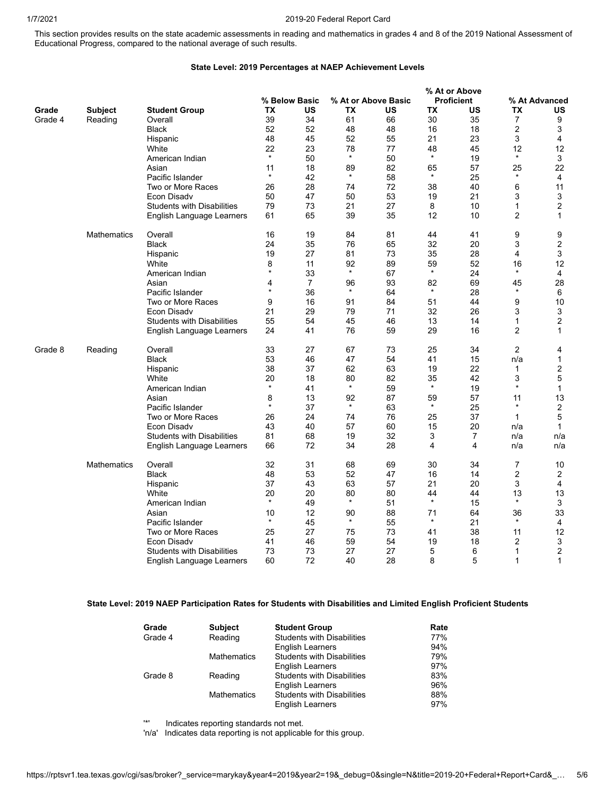## 1/7/2021 2019-20 Federal Report Card

This section provides results on the state academic assessments in reading and mathematics in grades 4 and 8 of the 2019 National Assessment of Educational Progress, compared to the national average of such results.

## **State Level: 2019 Percentages at NAEP Achievement Levels**

|         |                    |                                   |         |                |         |                     |         | % At or Above     |                |                         |
|---------|--------------------|-----------------------------------|---------|----------------|---------|---------------------|---------|-------------------|----------------|-------------------------|
|         |                    |                                   |         | % Below Basic  |         | % At or Above Basic |         | <b>Proficient</b> |                | % At Advanced           |
| Grade   | <b>Subject</b>     | <b>Student Group</b>              | TХ      | US             | ТX      | US                  | TX      | US                | ТX             | US                      |
| Grade 4 | Reading            | Overall                           | 39      | 34             | 61      | 66                  | 30      | 35                | 7              | 9                       |
|         |                    | <b>Black</b>                      | 52      | 52             | 48      | 48                  | 16      | 18                | 2              | 3                       |
|         |                    | Hispanic                          | 48      | 45             | 52      | 55                  | 21      | 23                | 3              | $\overline{4}$          |
|         |                    | White                             | 22      | 23             | 78      | 77                  | 48      | 45                | 12             | 12                      |
|         |                    | American Indian                   | $\star$ | 50             | $\star$ | 50                  | $\star$ | 19                | $\star$        | 3                       |
|         |                    | Asian                             | 11      | 18             | 89      | 82                  | 65      | 57                | 25             | 22                      |
|         |                    | Pacific Islander                  | $\star$ | 42             | $\star$ | 58                  | $\star$ | 25                | $\star$        | 4                       |
|         |                    | Two or More Races                 | 26      | 28             | 74      | 72                  | 38      | 40                | 6              | 11                      |
|         |                    | Econ Disady                       | 50      | 47             | 50      | 53                  | 19      | 21                | 3              | 3                       |
|         |                    | <b>Students with Disabilities</b> | 79      | 73             | 21      | 27                  | 8       | 10                | 1              | 2                       |
|         |                    | English Language Learners         | 61      | 65             | 39      | 35                  | 12      | 10                | $\overline{2}$ | $\mathbf{1}$            |
|         | <b>Mathematics</b> | Overall                           | 16      | 19             | 84      | 81                  | 44      | 41                | 9              | 9                       |
|         |                    | <b>Black</b>                      | 24      | 35             | 76      | 65                  | 32      | 20                | 3              | $\overline{2}$          |
|         |                    | Hispanic                          | 19      | 27             | 81      | 73                  | 35      | 28                | 4              | 3                       |
|         |                    | White                             | 8       | 11             | 92      | 89                  | 59      | 52                | 16             | 12                      |
|         |                    | American Indian                   | $\star$ | 33             | $\star$ | 67                  | $\star$ | 24                | $\star$        | $\overline{4}$          |
|         |                    | Asian                             | 4       | $\overline{7}$ | 96      | 93                  | 82      | 69                | 45             | 28                      |
|         |                    | Pacific Islander                  | $\star$ | 36             | $\star$ | 64                  | $\star$ | 28                | $\star$        | 6                       |
|         |                    | Two or More Races                 | 9       | 16             | 91      | 84                  | 51      | 44                | 9              | 10                      |
|         |                    | Econ Disadv                       | 21      | 29             | 79      | 71                  | 32      | 26                | 3              | 3                       |
|         |                    | <b>Students with Disabilities</b> | 55      | 54             | 45      | 46                  | 13      | 14                | 1              | $\overline{2}$          |
|         |                    | English Language Learners         | 24      | 41             | 76      | 59                  | 29      | 16                | $\overline{c}$ | 1                       |
| Grade 8 | Reading            | Overall                           | 33      | 27             | 67      | 73                  | 25      | 34                | $\overline{2}$ | 4                       |
|         |                    | <b>Black</b>                      | 53      | 46             | 47      | 54                  | 41      | 15                | n/a            | 1                       |
|         |                    | Hispanic                          | 38      | 37             | 62      | 63                  | 19      | 22                | 1              | $\overline{2}$          |
|         |                    | White                             | 20      | 18             | 80      | 82                  | 35      | 42                | 3              | 5                       |
|         |                    | American Indian                   | $\star$ | 41             | $\star$ | 59                  | $\star$ | 19                | $\star$        | $\mathbf{1}$            |
|         |                    | Asian                             | 8       | 13             | 92      | 87                  | 59      | 57                | 11             | 13                      |
|         |                    | Pacific Islander                  | $\star$ | 37             | $\star$ | 63                  | $\star$ | 25                | $\star$        | $\overline{\mathbf{c}}$ |
|         |                    | Two or More Races                 | 26      | 24             | 74      | 76                  | 25      | 37                | $\mathbf{1}$   | 5                       |
|         |                    | Econ Disadv                       | 43      | 40             | 57      | 60                  | 15      | 20                | n/a            | $\mathbf{1}$            |
|         |                    | <b>Students with Disabilities</b> | 81      | 68             | 19      | 32                  | 3       | $\overline{7}$    | n/a            | n/a                     |
|         |                    | English Language Learners         | 66      | 72             | 34      | 28                  | 4       | 4                 | n/a            | n/a                     |
|         | <b>Mathematics</b> | Overall                           | 32      | 31             | 68      | 69                  | 30      | 34                | 7              | 10                      |
|         |                    | <b>Black</b>                      | 48      | 53             | 52      | 47                  | 16      | 14                | $\overline{c}$ | 2                       |
|         |                    | Hispanic                          | 37      | 43             | 63      | 57                  | 21      | 20                | 3              | $\overline{4}$          |
|         |                    | White                             | 20      | 20             | 80      | 80                  | 44      | 44                | 13             | 13                      |
|         |                    | American Indian                   | $\star$ | 49             | $\star$ | 51                  | $\star$ | 15                | $\star$        | 3                       |
|         |                    | Asian                             | 10      | 12             | 90      | 88                  | 71      | 64                | 36             | 33                      |
|         |                    | Pacific Islander                  | $\star$ | 45             | $\star$ | 55                  | $\star$ | 21                | $\star$        | 4                       |
|         |                    | Two or More Races                 | 25      | 27             | 75      | 73                  | 41      | 38                | 11             | 12                      |
|         |                    | Econ Disadv                       | 41      | 46             | 59      | 54                  | 19      | 18                | 2              | 3                       |
|         |                    | <b>Students with Disabilities</b> | 73      | 73             | 27      | 27                  | 5       | 6                 | 1              | $\overline{2}$          |
|         |                    | English Language Learners         | 60      | 72             | 40      | 28                  | 8       | 5                 | 1              | $\mathbf{1}$            |

## **State Level: 2019 NAEP Participation Rates for Students with Disabilities and Limited English Proficient Students**

| Grade   | <b>Subject</b>     | <b>Student Group</b>              | Rate |
|---------|--------------------|-----------------------------------|------|
| Grade 4 | Reading            | <b>Students with Disabilities</b> | 77%  |
|         |                    | <b>English Learners</b>           | 94%  |
|         | <b>Mathematics</b> | <b>Students with Disabilities</b> | 79%  |
|         |                    | <b>English Learners</b>           | 97%  |
| Grade 8 | Reading            | <b>Students with Disabilities</b> | 83%  |
|         |                    | <b>English Learners</b>           | 96%  |
|         | <b>Mathematics</b> | <b>Students with Disabilities</b> | 88%  |
|         |                    | <b>English Learners</b>           | 97%  |

'\*' Indicates reporting standards not met.

'n/a' Indicates data reporting is not applicable for this group.